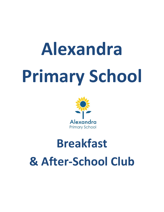# **Alexandra Primary School**



## **Breakfast & After-School Club**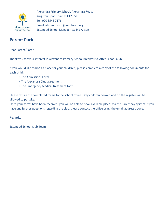

### **Parent Pack**

Dear Parent/Carer,

Thank you for your interest in Alexandra Primary School Breakfast & After School Club.

If you would like to book a place for your child/ren, please complete a copy of the following documents for each child:

- **. The Admissions Form**
- **.** The Alexandra Club agreement
- **The Emergency Medical treatment form**

Please return the completed forms to the school office. Only children booked and on the register will be allowed to partake.

Once your forms have been received, you will be able to book available places via the Parentpay system. If you have any further questions regarding the club, please contact the office using the email address above.

Regards,

Extended School Club Team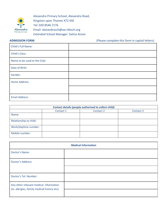

**ADMISSION FORM** (Please complete this form in capital letters)

| Child's Full Name:           |  |
|------------------------------|--|
| <b>Child's Class:</b>        |  |
| Name to be used at the Club: |  |
| Date of Birth:               |  |
| Gender:                      |  |
| Home Address:                |  |
|                              |  |
| <b>Email Address:</b>        |  |

| <b>Contact details (people authorised to collect child)</b> |           |           |           |
|-------------------------------------------------------------|-----------|-----------|-----------|
|                                                             | Contact 1 | Contact 2 | Contact 3 |
| Name:                                                       |           |           |           |
| Relationship to child:                                      |           |           |           |
| Work/daytime number:                                        |           |           |           |
| Mobile number:                                              |           |           |           |

| <b>Medical Information</b>                                                             |  |
|----------------------------------------------------------------------------------------|--|
| Doctor's Name:                                                                         |  |
| Doctor's Address:                                                                      |  |
|                                                                                        |  |
| Doctor's Tel. Number:                                                                  |  |
| Any other relevant medical information<br>(ie: allergies, family medical history etc): |  |
|                                                                                        |  |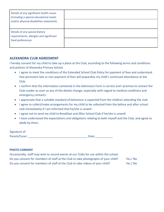| Details of any significant health issues<br>(including a special educational needs<br>and/or physical disabilities statement): |  |
|--------------------------------------------------------------------------------------------------------------------------------|--|
| Details of any special dietary<br>requirements, allergies and significant<br>food preferences:                                 |  |

#### **ALEXANDRA CLUB AGREEMENT**

I hereby consent for my child to take up a place at the Club, according to the following terms and conditions and policies of Alexandra Primary School.

- I agree to meet the conditions of the Extended School Club Policy for payment of fees and understand that persistent late or non-payment of fees will jeopardise my child's continued attendance at the Club.
- I confirm that the information contained in the Admission Form is correct and I promise to contact the Club Leader as soon as any of the details change, especially with regard to medical conditions and emergency contacts.
- I appreciate that a suitable standard of behaviour is expected from the children attending the club.
- I agree to collect/make arrangements for my child to be collected from the before and after school club immediately if I am informed that he/she is unwell.
- I agree not to send my child to Breakfast and After School Club if he/she is unwell.
- I have understood the expectations and obligations relating to both myself and the Club, and agree to abide by them.

| Signature of  |       |
|---------------|-------|
| Parent/Carer: | Date: |

#### **PHOTO CONSENT**

| Occasionally, staff may wish to record events at our Clubs for use within the school. |          |
|---------------------------------------------------------------------------------------|----------|
| Do you consent for members of staff at the Club to take photographs of your child?    | Yes / No |
| Do you consent for members of staff at the Club to take videos of your child?         | Yes / No |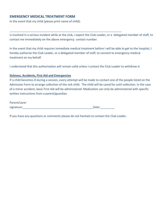#### **EMERGENCY MEDICAL TREATMENT FORM**

In the event that my child (please print name of child):

is involved in a serious incident while at the club, I expect the Club Leader, or a delegated member of staff, to contact me immediately on the above emergency contact number.

In the event that my child requires immediate medical treatment before I will be able to get to the hospital, I hereby authorise the Club Leader, or a delegated member of staff, to consent to emergency medical treatment on my behalf.

I understand that this authorisation will remain valid unless I contact the Club Leader to withdraw it.

\_\_\_\_\_\_\_\_\_\_\_\_\_\_\_\_\_\_\_\_\_\_\_\_\_\_\_\_\_\_\_\_\_\_\_\_\_\_\_\_\_\_\_\_\_\_\_\_\_\_\_\_\_\_\_\_\_\_\_\_\_\_\_\_\_\_\_\_\_\_

#### **Sickness, Accidents, First Aid and Emergencies**

If a child becomes ill during a session, every attempt will be made to contact one of the people listed on the Admission Form to arrange collection of the sick child. The child will be cared for until collection. In the case of a minor accident, basic First Aid will be administered. Medication can only be administered with specific written instructions from a parent/guardian.

| Parent/carer |       |
|--------------|-------|
| signature:   | Date: |

If you have any questions or comments please do not hesitate to contact the Club Leader.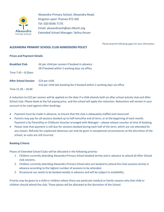

Please keep the following pages for your information

#### **ALEXANDRA PRIMARY SCHOOL CLUB ADMISSIONS POLICY**

#### **Prices and Payment Details**

| <b>Breakfast Club</b>       | E6 per child per session if booked in advance                                              |
|-----------------------------|--------------------------------------------------------------------------------------------|
|                             | £8 if booked within 2 working days via office.                                             |
| Time $7.45 - 8.50$ am       |                                                                                            |
| <b>After School Session</b> | £14 per child<br>£16 per child late booking fee if booked within 2 working days via office |
| Time 15.30 - 18.00          |                                                                                            |

A reduction to £10 per session will be applied on the date if a child attends both an after school activity club and After School club. Please book at the full paying price, and the school will apply the reduction. Reductions will remain in your account to be used against other bookings.

- Payment must be made in advance, to ensure that the club is adequately staffed and resourced.
- Parents may pay for all sessions booked up to half-term/the end of term, or at the beginning of each month. Payment is by ParentPay or Childcare Voucher arranged with Manager – please release voucher at time of booking.
- Please note that payment is still due for sessions booked during each half of the term, which are not attended for any reason. Refunds for unplanned absences can only be given in exceptional circumstances at the discretion of the school, as costs are still incurred.

#### **Booking Criteria**

Places at Extended School Clubs will be allocated in the following priority:

- 1. Children currently attending Alexandra Primary School booked termly and in advance to attend all After School club sessions.
- 2. Children currently attending Alexandra Primary School who are booked to attend the Club sessions termly in advance according to the highest number of sessions to be attended.
- 3. Occasional use needs to be booked weekly in advance and will be subject to availability.

Priority may be given to a child or children where there are particular medical or family reasons why that child or children should attend the club. These places will be allocated at the discretion of the School.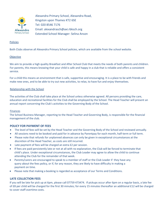

#### Policies

Both Clubs observe all Alexandra Primary School policies, which are available from the school website.

#### Objective

We aim to provide a high quality Breakfast and After School Club that meets the needs of both parents and children. For parents, this means knowing that your child is safe and happy in a club that is reliable and offers a consistent service.

For a child this means an environment that is safe, supportive and encouraging. It is a place to be with friends and make new ones, and to be able to try out new activities, to relax, to have fun and enjoy themselves.

#### Relationship with the School

The activities of the Club shall take place at the School unless otherwise agreed. All persons providing the care, education and recreational facilities for the Club shall be employed by the School. The Head Teacher will present an annual report concerning the Club's activities to the Governing Body of the School.

#### Finances

The School Business Manager, reporting to the Head Teacher and Governing Body, is responsible for the financial management of the club.

#### **POLICY FOR PAYMENT OF FEES**

- The level of fees will be set by the Head Teacher and the Governing Body of the School and reviewed annually.
- All sessions need to be booked and paid for in advance by Parentpay for each month, half-term or full term.
- Please note that refunds for unplanned absences can only be given in exceptional circumstances at the discretion of the Head Teacher, as costs are still incurred.
- Late payment of fees will be charged an extra £2 per session.
- If fees are paid persistently late or not at all with no explanation, the Club will be forced to terminate that child's place. Under exceptional circumstances, the Club Leader may agree to allow the child to continue attending the Club for the remainder of that week.
- Parents/carers are encouraged to speak to a member of staff or the Club Leader if they have any query about the fees policy, or if, for any reason, they are likely to have difficulty in making a payment on time.
- Please note that making a booking is regarded as acceptance of our Terms and Conditions.

#### **LATE COLLECTION FEES**

If you will be late for pick up at 6pm, please call 07759 473474. If pickups occur after 6pm on a regular basis, a late fee of £8 per child will be charged for the first 30 minutes; for every 15 minutes thereafter an additional £12 will be charged to cover staff overtime costs.